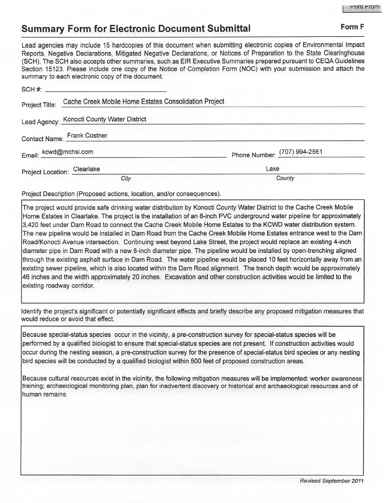## **Summary Form for Electronic Document Submittal Form F Form F**

Lead agencies may include 15 hardcopies of this document when submitting electronic copies of Environmental Impact Reports, Negative Declarations, Mitigated Negative Declarations, or Notices of Preparation to the State Clearinghouse (SCH). The SCH also accepts other summaries, such as ElR Executive Summaries prepared pursuant to CEQA Guidelines Section 15123. Please include one copy of the Notice of Completion Form (NOC) with your submission and attach the summary to each electronic copy of the document.

|                             | $SCH \#$ : $\qquad \qquad$                            |                              |  |
|-----------------------------|-------------------------------------------------------|------------------------------|--|
| Project Title:              | Cache Creek Mobile Home Estates Consolidation Project |                              |  |
|                             | Lead Agency: Konocti County Water District            |                              |  |
|                             | Contact Name: Frank Costner                           |                              |  |
| Email: kcwd@mchsi.com       |                                                       | Phone Number: (707) 994-2561 |  |
| Project Location: Clearlake |                                                       | Lake                         |  |
|                             | City                                                  | County                       |  |

Project Description (Proposed actions, location, and/or consequences).

The project would provide safe drinking water distribution by Konocti County Water District to the Cache Creek Mobile Home Estates in Clearlake. The project is the installation of an 8-inch PVC underground water pipeline for approximately 3,420 feet under Dam Road to connect the Cache Creek Mobile Home Estates to the KCWD water distribution system. The new pipeline would be installed in Dam Road from the Cache Creek Mobile Home Estates entrance west to the Dam Road/Konocti Avenue intersection. Continuing west beyond Lake Street, the project would replace an existing 4-inch diameter pipe in Dam Road with a new 8-inch diameter pipe. The pipeline would be installed by open-trenching aligned through the existing asphalt surface in Dam Road. The water pipeline would be placed 10 feet horizontally away from an existing sewer pipeline, which is also located within the Dam Road alignment. The trench depth would be approximately 46 inches and the width approximately 20 inches. Excavation and other construction activities would be limited to the existing roadway corridor.

Identify the project's significant or potentially significant effects and briefly describe any proposed mitigation measures that would reduce or avoid that effect.

Because special-status species occur in the vicinity, a pre-construction survey for special-status species will be performed by a qualified biologist to ensure that special-status species are not present. If construction activities would occur during the nesting season, a pre-construction survey for the presence of special-status bird species or any nesting bird species will be conducted by a qualified biologist within 500 feet of proposed construction areas.

Because cultural resources exist in the vicinity, the following mitigation measures will be implemented: worker awareness training; archaeological monitoring plan, plan for inadvertent discovery or historical and archaeological resources and of human remains.